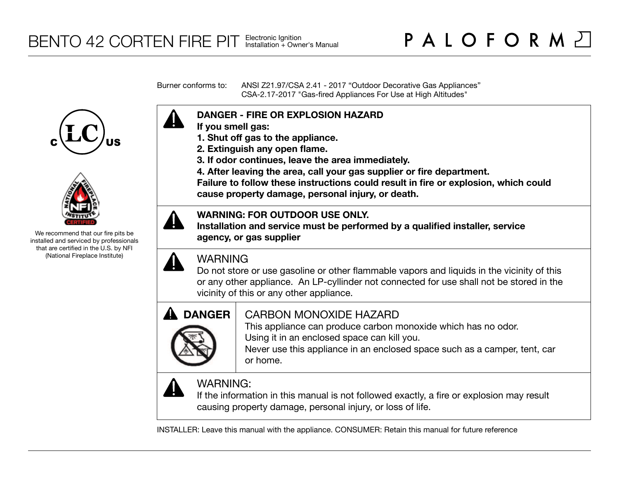Burner conforms to: ANSI Z21.97/CSA 2.41 - 2017 "Outdoor Decorative Gas Appliances" CSA-2.17-2017 "Gas-fired Appliances For Use at High Altitudes"





We recommend that our fire pits be installed and serviced by professionals that are certified in the U.S. by NFI (National Fireplace Institute)



- **If you smell gas:**
- **1. Shut off gas to the appliance.**
- **2. Extinguish any open flame.**
- **3. If odor continues, leave the area immediately.**
- **4. After leaving the area, call your gas supplier or fire department.**

**Failure to follow these instructions could result in fire or explosion, which could cause property damage, personal injury, or death.**

## **WARNING: FOR OUTDOOR USE ONLY.**

**Installation and service must be performed by a qualified installer, service agency, or gas supplier**



## WARNING

Do not store or use gasoline or other flammable vapors and liquids in the vicinity of this or any other appliance. An LP-cyllinder not connected for use shall not be stored in the vicinity of this or any other appliance.



## CARBON MONOXIDE HAZARD

This appliance can produce carbon monoxide which has no odor. Using it in an enclosed space can kill you.

Never use this appliance in an enclosed space such as a camper, tent, car or home.



## WARNING:

If the information in this manual is not followed exactly, a fire or explosion may result causing property damage, personal injury, or loss of life.

INSTALLER: Leave this manual with the appliance. CONSUMER: Retain this manual for future reference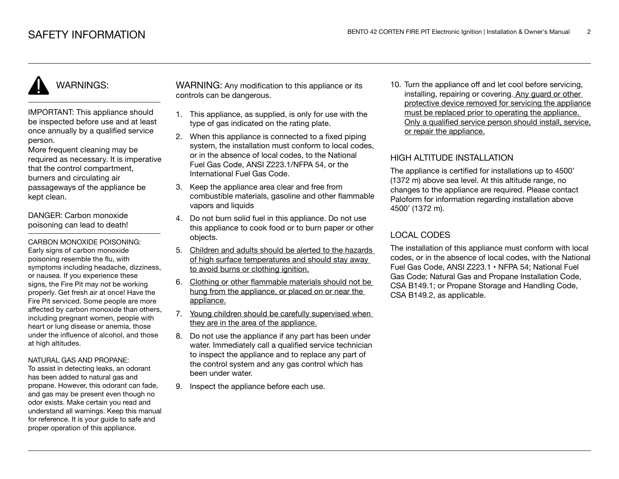# WARNINGS:

IMPORTANT: This appliance should be inspected before use and at least once annually by a qualified service person.

More frequent cleaning may be required as necessary. It is imperative that the control compartment, burners and circulating air passageways of the appliance be kept clean.

DANGER: Carbon monoxide poisoning can lead to death!

CARBON MONOXIDE POISONING: Early signs of carbon monoxide poisoning resemble the flu, with symptoms including headache, dizziness, or nausea. If you experience these signs, the Fire Pit may not be working properly. Get fresh air at once! Have the Fire Pit serviced. Some people are more affected by carbon monoxide than others, including pregnant women, people with heart or lung disease or anemia, those under the influence of alcohol, and those at high altitudes.

#### NATURAL GAS AND PROPANE:

To assist in detecting leaks, an odorant has been added to natural gas and propane. However, this odorant can fade, and gas may be present even though no odor exists. Make certain you read and understand all warnings. Keep this manual for reference. It is your guide to safe and proper operation of this appliance.

WARNING: Any modification to this appliance or its controls can be dangerous.

- 1. This appliance, as supplied, is only for use with the type of gas indicated on the rating plate.
- 2. When this appliance is connected to a fixed piping system, the installation must conform to local codes. or in the absence of local codes, to the National Fuel Gas Code, ANSI Z223.1/NFPA 54, or the International Fuel Gas Code.
- 3. Keep the appliance area clear and free from combustible materials, gasoline and other flammable vapors and liquids
- 4. Do not burn solid fuel in this appliance. Do not use this appliance to cook food or to burn paper or other objects.
- 5. Children and adults should be alerted to the hazards of high surface temperatures and should stay away to avoid burns or clothing ignition.
- 6. Clothing or other flammable materials should not be hung from the appliance, or placed on or near the appliance.
- 7. Young children should be carefully supervised when they are in the area of the appliance.
- 8. Do not use the appliance if any part has been under water. Immediately call a qualified service technician to inspect the appliance and to replace any part of the control system and any gas control which has been under water.
- 9. Inspect the appliance before each use.

10. Turn the appliance off and let cool before servicing, installing, repairing or covering. Any guard or other protective device removed for servicing the appliance must be replaced prior to operating the appliance. Only a qualified service person should install, service, or repair the appliance.

## HIGH ALTITUDE INSTALLATION

The appliance is certified for installations up to 4500' (1372 m) above sea level. At this altitude range, no changes to the appliance are required. Please contact Paloform for information regarding installation above 4500' (1372 m).

## LOCAL CODES

The installation of this appliance must conform with local codes, or in the absence of local codes, with the National Fuel Gas Code, ANSI Z223.1 • NFPA 54; National Fuel Gas Code; Natural Gas and Propane Installation Code, CSA B149.1; or Propane Storage and Handling Code, CSA B149.2, as applicable.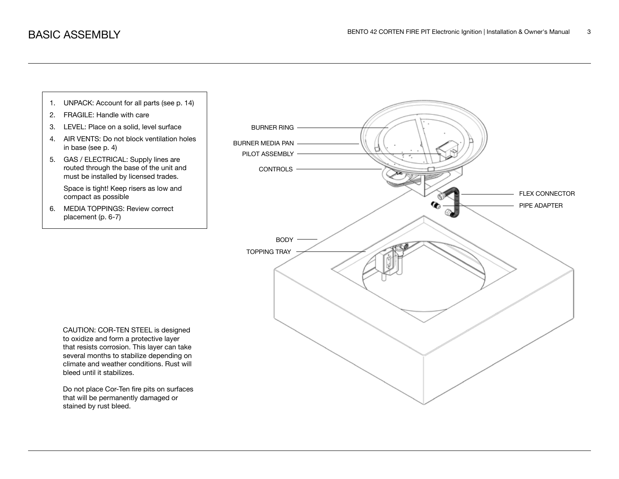

stained by rust bleed.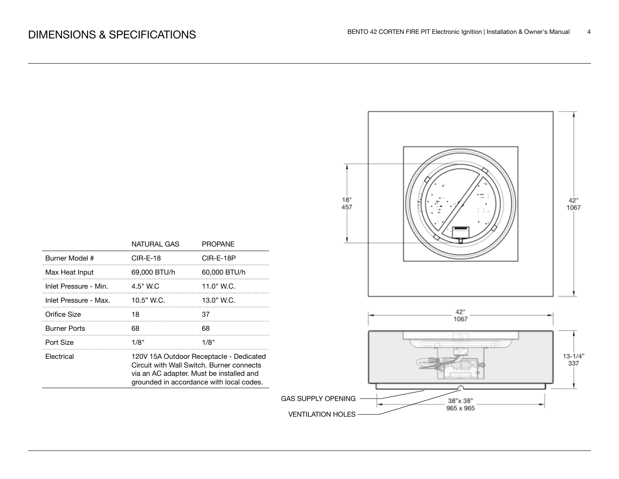

|                       | NATURAL GAS                                                                                                                                                                  | <b>PROPANE</b> |  |
|-----------------------|------------------------------------------------------------------------------------------------------------------------------------------------------------------------------|----------------|--|
| Burner Model #        | CIR-E-18                                                                                                                                                                     | CIR-E-18P      |  |
| Max Heat Input        | 69.000 BTU/h                                                                                                                                                                 | 60,000 BTU/h   |  |
| Inlet Pressure - Min. | $4.5"$ W.C.                                                                                                                                                                  | 11.0" W.C.     |  |
| Inlet Pressure - Max. | $10.5"$ W.C.                                                                                                                                                                 | 13.0" W.C.     |  |
| Orifice Size          | 18                                                                                                                                                                           | 37             |  |
| <b>Burner Ports</b>   |                                                                                                                                                                              |                |  |
| Port Size             | 1/8"                                                                                                                                                                         | 1/8"           |  |
| Electrical            | 120V 15A Outdoor Receptacle - Dedicated<br>Circuit with Wall Switch, Burner connects<br>via an AC adapter. Must be installed and<br>grounded in accordance with local codes. |                |  |
|                       |                                                                                                                                                                              |                |  |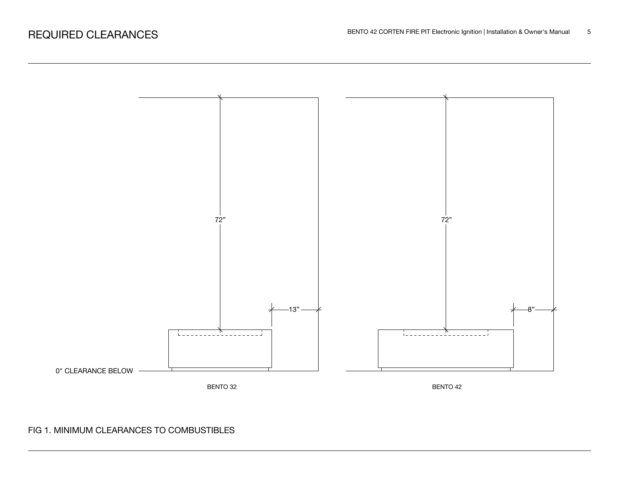

## FIG 1. MINIMUM CLEARANCES TO COMBUSTIBLES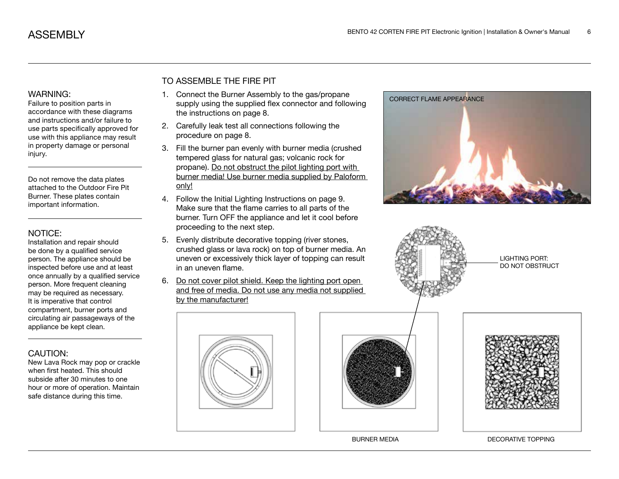#### WARNING:

Failure to position parts in accordance with these diagrams and instructions and/or failure to use parts specifically approved for use with this appliance may result in property damage or personal injury.

Do not remove the data plates attached to the Outdoor Fire Pit Burner. These plates contain important information.

#### NOTICE:

Installation and repair should be done by a qualified service person. The appliance should be inspected before use and at least once annually by a qualified service person. More frequent cleaning may be required as necessary. It is imperative that control compartment, burner ports and circulating air passageways of the appliance be kept clean.

## CAUTION:

New Lava Rock may pop or crackle when first heated. This should subside after 30 minutes to one hour or more of operation. Maintain safe distance during this time.

## TO ASSEMBLE THE FIRE PIT

- 1. Connect the Burner Assembly to the gas/propane supply using the supplied flex connector and following the instructions on page 8.
- 2. Carefully leak test all connections following the procedure on page 8.
- 3. Fill the burner pan evenly with burner media (crushed tempered glass for natural gas; volcanic rock for propane). Do not obstruct the pilot lighting port with burner media! Use burner media supplied by Paloform only!
- 4. Follow the Initial Lighting Instructions on page 9. Make sure that the flame carries to all parts of the burner. Turn OFF the appliance and let it cool before proceeding to the next step.
- 5. Evenly distribute decorative topping (river stones, crushed glass or lava rock) on top of burner media. An uneven or excessively thick layer of topping can result in an uneven flame.
- 6. Do not cover pilot shield. Keep the lighting port open and free of media. Do not use any media not supplied by the manufacturer!





BURNER MEDIA DECORATIVE TOPPING





LIGHTING PORT: DO NOT OBSTRUCT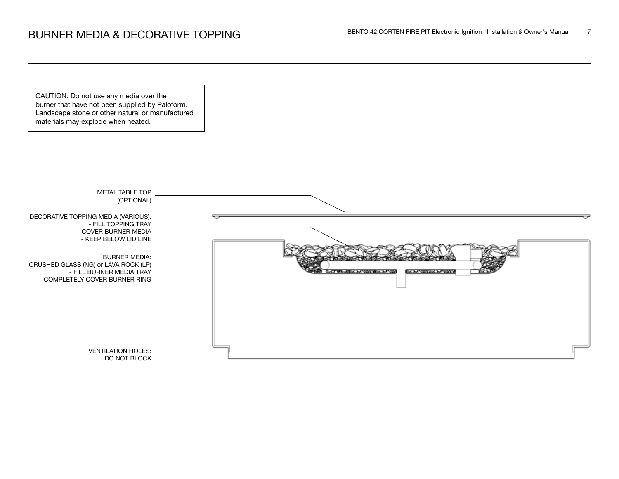CAUTION: Do not use any media over the burner that have not been supplied by Paloform. Landscape stone or other natural or manufactured materials may explode when heated.

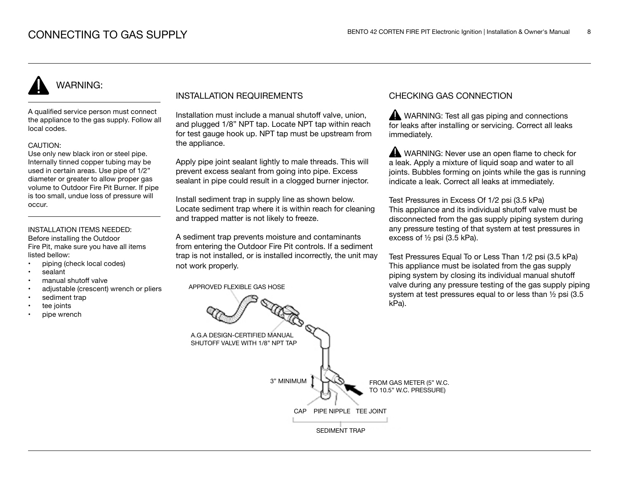# WARNING:

A qualified service person must connect the appliance to the gas supply. Follow all local codes.

#### CAUTION:

Use only new black iron or steel pipe. Internally tinned copper tubing may be used in certain areas. Use pipe of 1/2" diameter or greater to allow proper gas volume to Outdoor Fire Pit Burner. If pipe is too small, undue loss of pressure will occur.

### INSTALLATION ITEMS NEEDED:

Before installing the Outdoor Fire Pit, make sure you have all items listed bellow:

- piping (check local codes)
- sealant
- manual shutoff valve
- adjustable (crescent) wrench or pliers
- sediment trap
- tee joints
- pipe wrench

## INSTALLATION REQUIREMENTS

Installation must include a manual shutoff valve, union, and plugged 1/8" NPT tap. Locate NPT tap within reach for test gauge hook up. NPT tap must be upstream from the appliance.

Apply pipe joint sealant lightly to male threads. This will prevent excess sealant from going into pipe. Excess sealant in pipe could result in a clogged burner injector.

Install sediment trap in supply line as shown below. Locate sediment trap where it is within reach for cleaning and trapped matter is not likely to freeze.

A sediment trap prevents moisture and contaminants from entering the Outdoor Fire Pit controls. If a sediment trap is not installed, or is installed incorrectly, the unit may not work properly.

APPROVED FLEXIBLE GAS HOSE

## CHECKING GAS CONNECTION

WARNING: Test all gas piping and connections for leaks after installing or servicing. Correct all leaks immediately.

WARNING: Never use an open flame to check for a leak. Apply a mixture of liquid soap and water to all joints. Bubbles forming on joints while the gas is running indicate a leak. Correct all leaks at immediately.

Test Pressures in Excess Of 1/2 psi (3.5 kPa) This appliance and its individual shutoff valve must be disconnected from the gas supply piping system during any pressure testing of that system at test pressures in excess of ½ psi (3.5 kPa).

Test Pressures Equal To or Less Than 1/2 psi (3.5 kPa) This appliance must be isolated from the gas supply piping system by closing its individual manual shutoff valve during any pressure testing of the gas supply piping system at test pressures equal to or less than ½ psi (3.5 kPa).

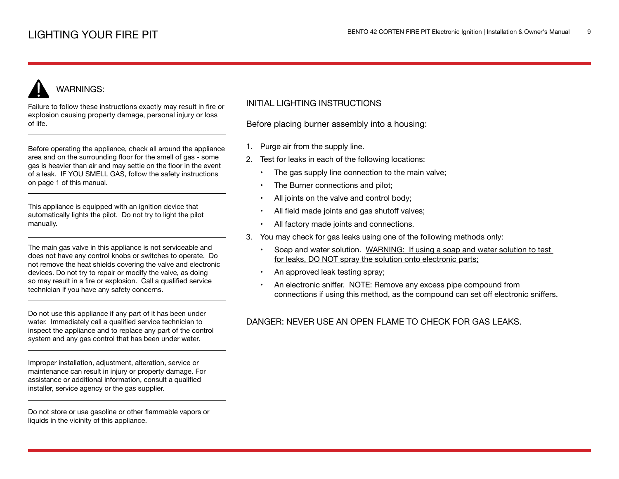# WARNINGS:

Failure to follow these instructions exactly may result in fire or explosion causing property damage, personal injury or loss of life.

Before operating the appliance, check all around the appliance area and on the surrounding floor for the smell of gas - some gas is heavier than air and may settle on the floor in the event of a leak. IF YOU SMELL GAS, follow the safety instructions on page 1 of this manual.

This appliance is equipped with an ignition device that automatically lights the pilot. Do not try to light the pilot manually.

The main gas valve in this appliance is not serviceable and does not have any control knobs or switches to operate. Do not remove the heat shields covering the valve and electronic devices. Do not try to repair or modify the valve, as doing so may result in a fire or explosion. Call a qualified service technician if you have any safety concerns.

Do not use this appliance if any part of it has been under water. Immediately call a qualified service technician to inspect the appliance and to replace any part of the control system and any gas control that has been under water.

Improper installation, adjustment, alteration, service or maintenance can result in injury or property damage. For assistance or additional information, consult a qualified installer, service agency or the gas supplier.

Do not store or use gasoline or other flammable vapors or liquids in the vicinity of this appliance.

## INITIAL LIGHTING INSTRUCTIONS

Before placing burner assembly into a housing:

- 1. Purge air from the supply line.
- 2. Test for leaks in each of the following locations:
	- The gas supply line connection to the main valve;
	- The Burner connections and pilot;
	- All joints on the valve and control body;
	- All field made joints and gas shutoff valves;
	- All factory made joints and connections.
- 3. You may check for gas leaks using one of the following methods only:
	- Soap and water solution. WARNING: If using a soap and water solution to test for leaks, DO NOT spray the solution onto electronic parts;
	- An approved leak testing spray;
	- An electronic sniffer. NOTE: Remove any excess pipe compound from connections if using this method, as the compound can set off electronic sniffers.

## DANGER: NEVER USE AN OPEN FLAME TO CHECK FOR GAS LEAKS.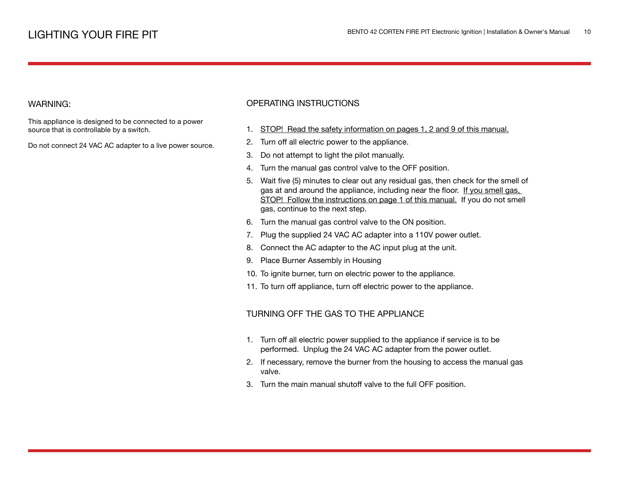#### WARNING:

This appliance is designed to be connected to a power source that is controllable by a switch.

Do not connect 24 VAC AC adapter to a live power source.

## OPERATING INSTRUCTIONS

- 1. STOP! Read the safety information on pages 1, 2 and 9 of this manual.
- 2. Turn off all electric power to the appliance.
- 3. Do not attempt to light the pilot manually.
- 4. Turn the manual gas control valve to the OFF position.
- 5. Wait five (5) minutes to clear out any residual gas, then check for the smell of gas at and around the appliance, including near the floor. If you smell gas, STOP! Follow the instructions on page 1 of this manual. If you do not smell gas, continue to the next step.
- 6. Turn the manual gas control valve to the ON position.
- 7. Plug the supplied 24 VAC AC adapter into a 110V power outlet.
- 8. Connect the AC adapter to the AC input plug at the unit.
- 9. Place Burner Assembly in Housing
- 10. To ignite burner, turn on electric power to the appliance.
- 11. To turn off appliance, turn off electric power to the appliance.

### TURNING OFF THE GAS TO THE APPLIANCE

- 1. Turn off all electric power supplied to the appliance if service is to be performed. Unplug the 24 VAC AC adapter from the power outlet.
- 2. If necessary, remove the burner from the housing to access the manual gas valve.
- 3. Turn the main manual shutoff valve to the full OFF position.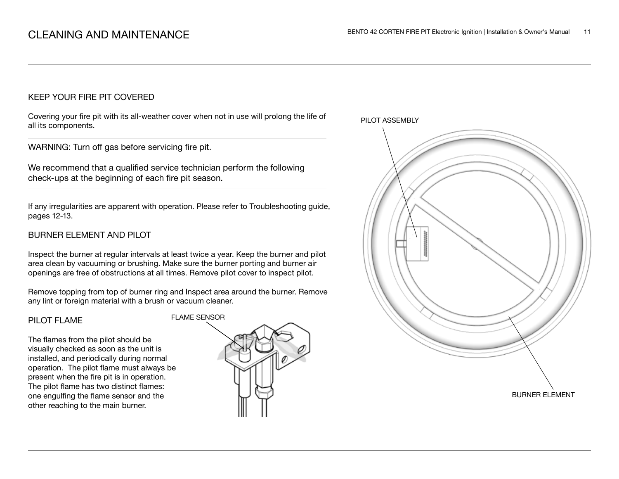## KEEP YOUR FIRE PIT COVERED

Covering your fire pit with its all-weather cover when not in use will prolong the life of all its components.

WARNING: Turn off gas before servicing fire pit.

We recommend that a qualified service technician perform the following check-ups at the beginning of each fire pit season.

If any irregularities are apparent with operation. Please refer to Troubleshooting guide, pages 12-13.

## BURNER ELEMENT AND PILOT

Inspect the burner at regular intervals at least twice a year. Keep the burner and pilot area clean by vacuuming or brushing. Make sure the burner porting and burner air openings are free of obstructions at all times. Remove pilot cover to inspect pilot.

Remove topping from top of burner ring and Inspect area around the burner. Remove any lint or foreign material with a brush or vacuum cleaner.

#### PILOT FLAME

The flames from the pilot should be visually checked as soon as the unit is installed, and periodically during normal operation. The pilot flame must always be present when the fire pit is in operation. The pilot flame has two distinct flames: one engulfing the flame sensor and the other reaching to the main burner.



PILOT ASSEMBLY

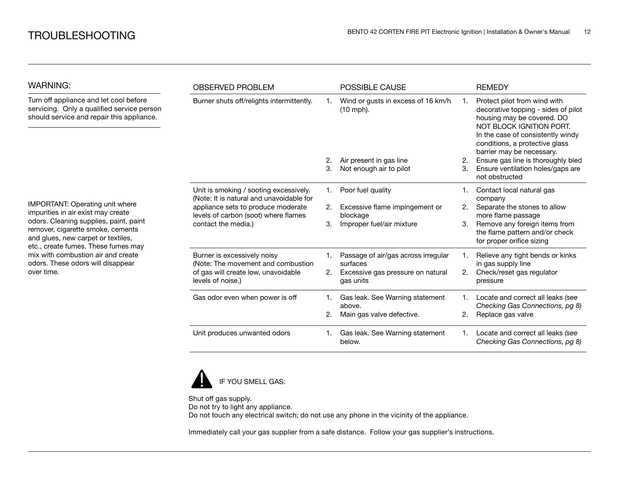| <b>WARNING:</b>                                                                                                                                                                                                                                                                                                            | <b>OBSERVED PROBLEM</b>                                                                                                                                                                 |    | <b>POSSIBLE CAUSE</b>                             |    | <b>REMEDY</b>                                                                                                                                                                                                                     |
|----------------------------------------------------------------------------------------------------------------------------------------------------------------------------------------------------------------------------------------------------------------------------------------------------------------------------|-----------------------------------------------------------------------------------------------------------------------------------------------------------------------------------------|----|---------------------------------------------------|----|-----------------------------------------------------------------------------------------------------------------------------------------------------------------------------------------------------------------------------------|
| Turn off appliance and let cool before<br>servicing. Only a qualified service person<br>should service and repair this appliance.                                                                                                                                                                                          | Burner shuts off/relights intermittently.                                                                                                                                               |    | Wind or gusts in excess of 16 km/h<br>$(10$ mph). |    | Protect pilot from wind with<br>decorative topping - sides of pilot<br>housing may be covered. DO<br>NOT BLOCK IGNITION PORT.<br>In the case of consistently windy<br>conditions, a protective glass<br>barrier may be necessary. |
|                                                                                                                                                                                                                                                                                                                            |                                                                                                                                                                                         | 2. | Air present in gas line                           | 2. | Ensure gas line is thoroughly bled                                                                                                                                                                                                |
|                                                                                                                                                                                                                                                                                                                            |                                                                                                                                                                                         | 3. | Not enough air to pilot                           | 3. | Ensure ventilation holes/gaps are<br>not obstructed                                                                                                                                                                               |
|                                                                                                                                                                                                                                                                                                                            | Unit is smoking / sooting excessively.<br>(Note: It is natural and unavoidable for<br>appliance sets to produce moderate<br>levels of carbon (soot) where flames<br>contact the media.) | 1. | Poor fuel quality                                 |    | Contact local natural gas<br>company                                                                                                                                                                                              |
| IMPORTANT: Operating unit where<br>impurities in air exist may create<br>odors. Cleaning supplies, paint, paint<br>remover, cigarette smoke, cements<br>and glues, new carpet or textiles,<br>etc., create fumes. These fumes may<br>mix with combustion air and create<br>odors. These odors will disappear<br>over time. |                                                                                                                                                                                         | 2. | Excessive flame impingement or<br>blockage        | 2. | Separate the stones to allow<br>more flame passage                                                                                                                                                                                |
|                                                                                                                                                                                                                                                                                                                            |                                                                                                                                                                                         | 3. | Improper fuel/air mixture                         | 3. | Remove any foreign items from<br>the flame pattern and/or check<br>for proper orifice sizing                                                                                                                                      |
|                                                                                                                                                                                                                                                                                                                            | Burner is excessively noisy<br>(Note: The movement and combustion                                                                                                                       |    | Passage of air/gas across irregular<br>surfaces   |    | Relieve any tight bends or kinks<br>in gas supply line                                                                                                                                                                            |
|                                                                                                                                                                                                                                                                                                                            | of gas will create low, unavoidable<br>levels of noise.)                                                                                                                                | 2. | Excessive gas pressure on natural<br>gas units    | 2. | Check/reset gas regulator<br>pressure                                                                                                                                                                                             |
|                                                                                                                                                                                                                                                                                                                            | Gas odor even when power is off                                                                                                                                                         | 1. | Gas leak. See Warning statement<br>above.         |    | Locate and correct all leaks (see<br>Checking Gas Connections, pg 8)                                                                                                                                                              |
|                                                                                                                                                                                                                                                                                                                            |                                                                                                                                                                                         |    | Main gas valve defective.                         | 2. | Replace gas valve                                                                                                                                                                                                                 |
|                                                                                                                                                                                                                                                                                                                            | Unit produces unwanted odors                                                                                                                                                            |    | Gas leak. See Warning statement<br>below.         |    | Locate and correct all leaks (see<br>Checking Gas Connections, pg 8)                                                                                                                                                              |



Shut off gas supply. Do not try to light any appliance. Do not touch any electrical switch; do not use any phone in the vicinity of the appliance.

Immediately call your gas supplier from a safe distance. Follow your gas supplier's instructions.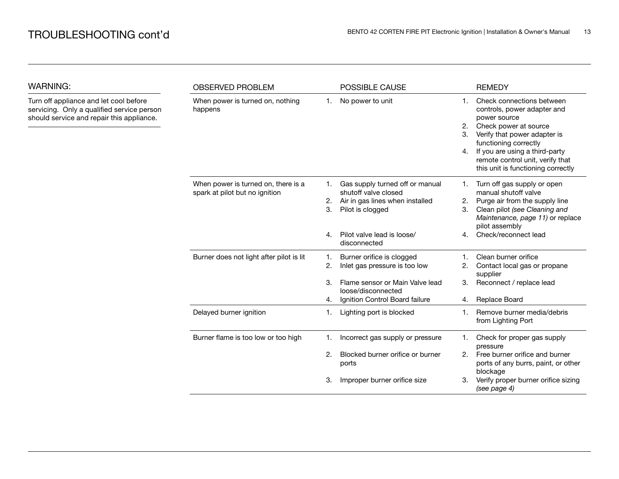WARNING:

| WARNING:                                                                                                                          | <b>OBSERVED PROBLEM</b>                                               |                | POSSIBLE CAUSE                                                                                                 |                           | <b>REMEDY</b>                                                                                                                                                                                                                                                          |
|-----------------------------------------------------------------------------------------------------------------------------------|-----------------------------------------------------------------------|----------------|----------------------------------------------------------------------------------------------------------------|---------------------------|------------------------------------------------------------------------------------------------------------------------------------------------------------------------------------------------------------------------------------------------------------------------|
| Turn off appliance and let cool before<br>servicing. Only a qualified service person<br>should service and repair this appliance. | When power is turned on, nothing<br>happens                           | 1.             | No power to unit                                                                                               | $1_{-}$<br>2.<br>3.<br>4. | Check connections between<br>controls, power adapter and<br>power source<br>Check power at source<br>Verify that power adapter is<br>functioning correctly<br>If you are using a third-party<br>remote control unit, verify that<br>this unit is functioning correctly |
|                                                                                                                                   | When power is turned on, there is a<br>spark at pilot but no ignition | 1.<br>2.<br>3. | Gas supply turned off or manual<br>shutoff valve closed<br>Air in gas lines when installed<br>Pilot is clogged | 1.<br>2.<br>3.            | Turn off gas supply or open<br>manual shutoff valve<br>Purge air from the supply line<br>Clean pilot (see Cleaning and<br>Maintenance, page 11) or replace<br>pilot assembly                                                                                           |
|                                                                                                                                   |                                                                       | 4.             | Pilot valve lead is loose/<br>disconnected                                                                     | 4.                        | Check/reconnect lead                                                                                                                                                                                                                                                   |
|                                                                                                                                   | Burner does not light after pilot is lit                              | 1.<br>2.       | Burner orifice is clogged<br>Inlet gas pressure is too low                                                     | 2.                        | Clean burner orifice<br>Contact local gas or propane<br>supplier                                                                                                                                                                                                       |
|                                                                                                                                   |                                                                       | 3.<br>4.       | Flame sensor or Main Valve lead<br>loose/disconnected<br>Ignition Control Board failure                        | 3.<br>4.                  | Reconnect / replace lead<br><b>Replace Board</b>                                                                                                                                                                                                                       |
|                                                                                                                                   | Delayed burner ignition                                               | 1.             | Lighting port is blocked                                                                                       | 1.                        | Remove burner media/debris<br>from Lighting Port                                                                                                                                                                                                                       |
|                                                                                                                                   | Burner flame is too low or too high                                   |                | Incorrect gas supply or pressure                                                                               | 1.                        | Check for proper gas supply<br>pressure                                                                                                                                                                                                                                |
|                                                                                                                                   |                                                                       | 2.             | Blocked burner orifice or burner<br>ports                                                                      | 2.                        | Free burner orifice and burner<br>ports of any burrs, paint, or other<br>blockage                                                                                                                                                                                      |
|                                                                                                                                   |                                                                       | 3.             | Improper burner orifice size                                                                                   | 3.                        | Verify proper burner orifice sizing<br>(see page 4)                                                                                                                                                                                                                    |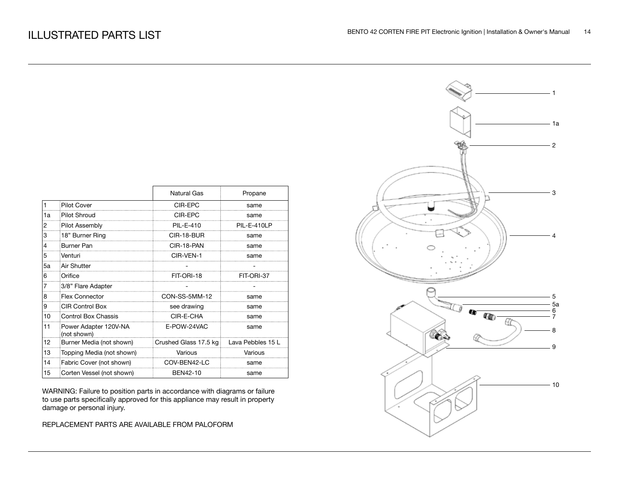|    |                                      | <b>Natural Gas</b>    | Propane           |
|----|--------------------------------------|-----------------------|-------------------|
| 1  | <b>Pilot Cover</b>                   | CIR-EPC               | same              |
| 1a | <b>Pilot Shroud</b>                  | CIR-EPC               | same              |
| 2  | Pilot Assembly                       | <b>PIL-E-410</b>      | PIL-E-410LP       |
| 3  | 18" Burner Ring                      | CIR-18-BUR            | same              |
| 4  | <b>Burner Pan</b>                    | CIR-18-PAN            | same              |
| 5  | Venturi                              | CIR-VEN-1             | same              |
| 5a | Air Shutter                          |                       |                   |
| 6  | Orifice                              | FIT-ORI-18            | FIT-ORI-37        |
|    | 3/8" Flare Adapter                   |                       |                   |
| 8  | Flex Connector                       | CON-SS-5MM-12         | same              |
| 9  | <b>CIR Control Box</b>               | see drawing           | same              |
| 10 | <b>Control Box Chassis</b>           | CIR-E-CHA             | same              |
| 11 | Power Adapter 120V-NA<br>(not shown) | E-POW-24VAC           | same              |
| 12 | Burner Media (not shown)             | Crushed Glass 17.5 kg | Lava Pebbles 15 L |
| 13 | Topping Media (not shown)            | Various               | Various           |
| 14 | Fabric Cover (not shown)             | COV-BEN42-LC          | same              |
| 15 | Corten Vessel (not shown)            | BEN42-10              | same              |

WARNING: Failure to position parts in accordance with diagrams or failure to use parts specifically approved for this appliance may result in property damage or personal injury.

REPLACEMENT PARTS ARE AVAILABLE FROM PALOFORM

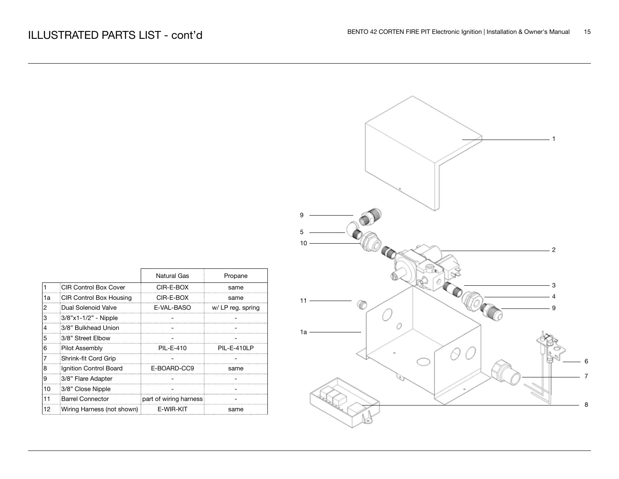| 10 <sub>1</sub><br>⊚                          | $\cdot$ 2 |
|-----------------------------------------------|-----------|
| Natural Gas<br>Propane                        |           |
| $CIR-E-BOX$<br>same                           | 3         |
| $CIR-E-BOX$<br>same<br>$11 -$                 |           |
| E-VAL-BASO<br>w/ LP reg. spring               | 9         |
|                                               |           |
| 0<br>1a                                       |           |
|                                               |           |
| PIL-E-410<br>PIL-E-410LP                      |           |
|                                               |           |
| -BOARD-CC9<br>same                            |           |
|                                               |           |
|                                               |           |
| of wiring harness<br>$\overline{\phantom{a}}$ |           |
| E-WIR-KIT<br>same                             |           |

|    | <b>CIR Control Box Cover</b> | CIR-E-BOX              | same              |
|----|------------------------------|------------------------|-------------------|
| 1a | CIR Control Box Housing      | CIR-E-BOX              | same              |
| 2  | Dual Solenoid Valve          | E-VAL-BASO             | w/ LP reg. spring |
| 3  | 3/8"x1-1/2" - Nipple         |                        |                   |
| 4  | 3/8" Bulkhead Union          |                        |                   |
| 5  | 3/8" Street Elbow            |                        |                   |
| 6  | Pilot Assembly               | PII-F-410              | PIL-E-410I P      |
|    | Shrink-fit Cord Grip         |                        |                   |
| 8  | Ignition Control Board       | E-BOARD-CC9            | same              |
| 9  | 3/8" Flare Adapter           |                        |                   |
| 10 | 3/8" Close Nipple            |                        |                   |
|    | <b>Barrel Connector</b>      | part of wiring harness |                   |
| 12 | Wiring Harness (not shown)   | E-WIR-KIT              | same              |
|    |                              |                        |                   |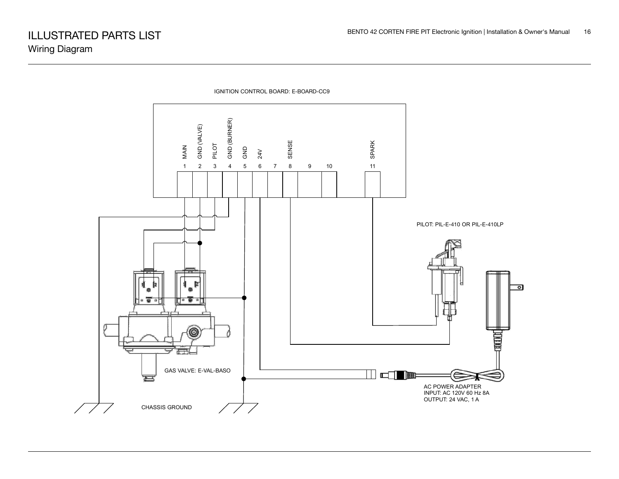

IGNITION CONTROL BOARD: E-BOARD-CC9